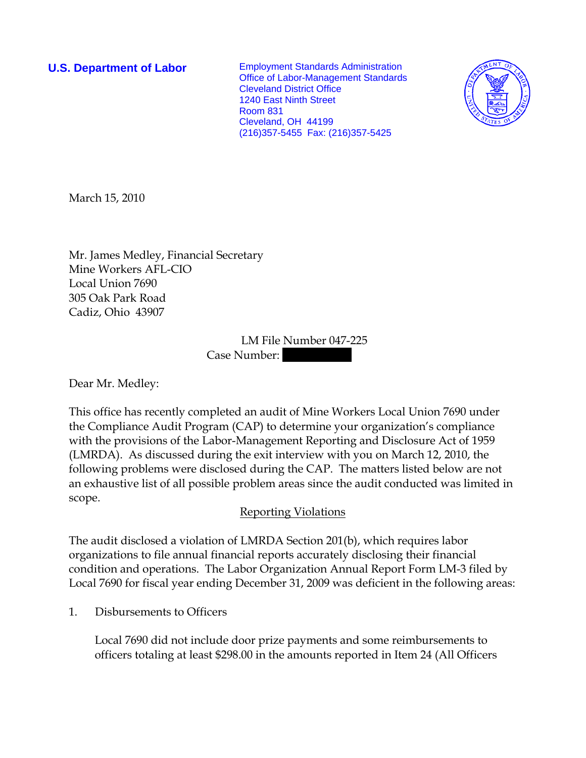**U.S. Department of Labor** Employment Standards Administration Office of Labor-Management Standards Cleveland District Office 1240 East Ninth Street Room 831 Cleveland, OH 44199 (216)357-5455 Fax: (216)357-5425



March 15, 2010

Mr. James Medley, Financial Secretary Mine Workers AFL-CIO Local Union 7690 305 Oak Park Road Cadiz, Ohio 43907

> LM File Number 047-225 Case Number:

Dear Mr. Medley:

This office has recently completed an audit of Mine Workers Local Union 7690 under the Compliance Audit Program (CAP) to determine your organization's compliance with the provisions of the Labor-Management Reporting and Disclosure Act of 1959 (LMRDA). As discussed during the exit interview with you on March 12, 2010, the following problems were disclosed during the CAP. The matters listed below are not an exhaustive list of all possible problem areas since the audit conducted was limited in scope.

## Reporting Violations

The audit disclosed a violation of LMRDA Section 201(b), which requires labor organizations to file annual financial reports accurately disclosing their financial condition and operations. The Labor Organization Annual Report Form LM-3 filed by Local 7690 for fiscal year ending December 31, 2009 was deficient in the following areas:

1. Disbursements to Officers

Local 7690 did not include door prize payments and some reimbursements to officers totaling at least \$298.00 in the amounts reported in Item 24 (All Officers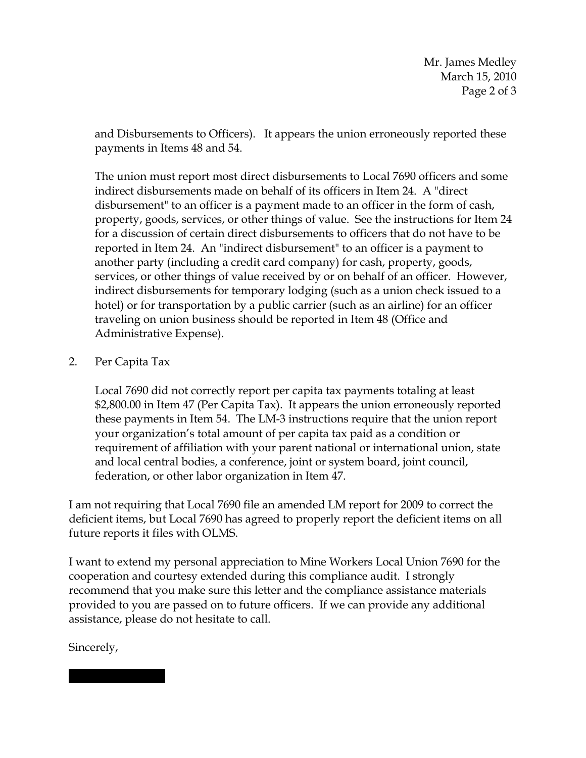and Disbursements to Officers). It appears the union erroneously reported these payments in Items 48 and 54.

The union must report most direct disbursements to Local 7690 officers and some indirect disbursements made on behalf of its officers in Item 24. A "direct disbursement" to an officer is a payment made to an officer in the form of cash, property, goods, services, or other things of value. See the instructions for Item 24 for a discussion of certain direct disbursements to officers that do not have to be reported in Item 24. An "indirect disbursement" to an officer is a payment to another party (including a credit card company) for cash, property, goods, services, or other things of value received by or on behalf of an officer. However, indirect disbursements for temporary lodging (such as a union check issued to a hotel) or for transportation by a public carrier (such as an airline) for an officer traveling on union business should be reported in Item 48 (Office and Administrative Expense).

## 2. Per Capita Tax

Local 7690 did not correctly report per capita tax payments totaling at least \$2,800.00 in Item 47 (Per Capita Tax). It appears the union erroneously reported these payments in Item 54. The LM-3 instructions require that the union report your organization's total amount of per capita tax paid as a condition or requirement of affiliation with your parent national or international union, state and local central bodies, a conference, joint or system board, joint council, federation, or other labor organization in Item 47.

I am not requiring that Local 7690 file an amended LM report for 2009 to correct the deficient items, but Local 7690 has agreed to properly report the deficient items on all future reports it files with OLMS.

I want to extend my personal appreciation to Mine Workers Local Union 7690 for the cooperation and courtesy extended during this compliance audit. I strongly recommend that you make sure this letter and the compliance assistance materials provided to you are passed on to future officers. If we can provide any additional assistance, please do not hesitate to call.

Sincerely,